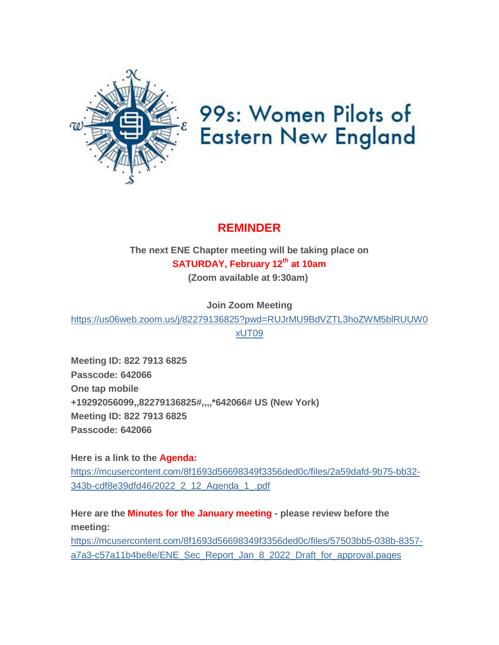

# 99s: Women Pilots of **Eastern New England**

### **REMINDER**

**The next ENE Chapter meeting will be taking place on SATURDAY, February 12th at 10am (Zoom available at 9:30am)**

**Join Zoom Meeting**

[https://us06web.zoom.us/j/82279136825?pwd=RUJrMU9BdVZTL3hoZWM5blRUUW0](https://womenpilotsene.us6.list-manage.com/track/click?u=8f1693d56698349f3356ded0c&id=0a192c31c7&e=75347ca4ae) [xUT09](https://womenpilotsene.us6.list-manage.com/track/click?u=8f1693d56698349f3356ded0c&id=0a192c31c7&e=75347ca4ae)

**Meeting ID: 822 7913 6825 Passcode: 642066 One tap mobile +19292056099,,82279136825#,,,,\*642066# US (New York) Meeting ID: 822 7913 6825 Passcode: 642066**

**Here is a link to the Agenda:** [https://mcusercontent.com/8f1693d56698349f3356ded0c/files/2a59dafd-9b75-bb32-](https://womenpilotsene.us6.list-manage.com/track/click?u=8f1693d56698349f3356ded0c&id=33400bf6ec&e=75347ca4ae) [343b-cdf8e39dfd46/2022\\_2\\_12\\_Agenda\\_1\\_.pdf](https://womenpilotsene.us6.list-manage.com/track/click?u=8f1693d56698349f3356ded0c&id=33400bf6ec&e=75347ca4ae)

**Here are the Minutes for the January meeting - please review before the meeting:** [https://mcusercontent.com/8f1693d56698349f3356ded0c/files/57503bb5-038b-8357](https://womenpilotsene.us6.list-manage.com/track/click?u=8f1693d56698349f3356ded0c&id=b7d4d70d41&e=75347ca4ae) [a7a3-c57a11b4be8e/ENE\\_Sec\\_Report\\_Jan\\_8\\_2022\\_Draft\\_for\\_approval.pages](https://womenpilotsene.us6.list-manage.com/track/click?u=8f1693d56698349f3356ded0c&id=b7d4d70d41&e=75347ca4ae)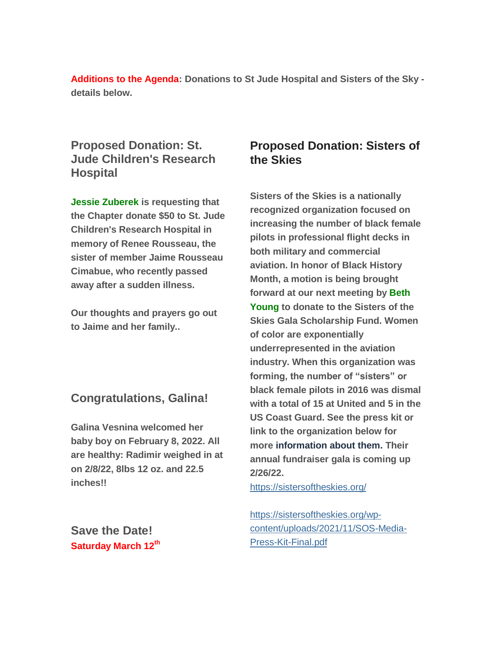**Additions to the Agenda: Donations to St Jude Hospital and Sisters of the Sky details below.**

#### **Proposed Donation: St. Jude Children's Research Hospital**

**Jessie Zuberek is requesting that the Chapter donate \$50 to St. Jude Children's Research Hospital in memory of Renee Rousseau, the sister of member Jaime Rousseau Cimabue, who recently passed away after a sudden illness.**

**Our thoughts and prayers go out to Jaime and her family..**

#### **Congratulations, Galina!**

**Galina Vesnina welcomed her baby boy on February 8, 2022. All are healthy: Radimir weighed in at on 2/8/22, 8lbs 12 oz. and 22.5 inches!!**

**Save the Date! Saturday March 12th**

#### **Proposed Donation: Sisters of the Skies**

**Sisters of the Skies is a nationally recognized organization focused on increasing the number of black female pilots in professional flight decks in both military and commercial aviation. In honor of Black History Month, a motion is being brought forward at our next meeting by Beth Young to donate to the Sisters of the Skies Gala Scholarship Fund. Women of color are exponentially underrepresented in the aviation industry. When this organization was forming, the number of "sisters" or black female pilots in 2016 was dismal with a total of 15 at United and 5 in the US Coast Guard. See the press kit or link to the organization below for more information about them. Their annual fundraiser gala is coming up 2/26/22.**

<https://sistersoftheskies.org/>

[https://sistersoftheskies.org/wp](https://sistersoftheskies.org/wp-content/uploads/2021/11/SOS-Media-Press-Kit-Final.pdf)[content/uploads/2021/11/SOS-Media-](https://sistersoftheskies.org/wp-content/uploads/2021/11/SOS-Media-Press-Kit-Final.pdf)[Press-Kit-Final.pdf](https://sistersoftheskies.org/wp-content/uploads/2021/11/SOS-Media-Press-Kit-Final.pdf)